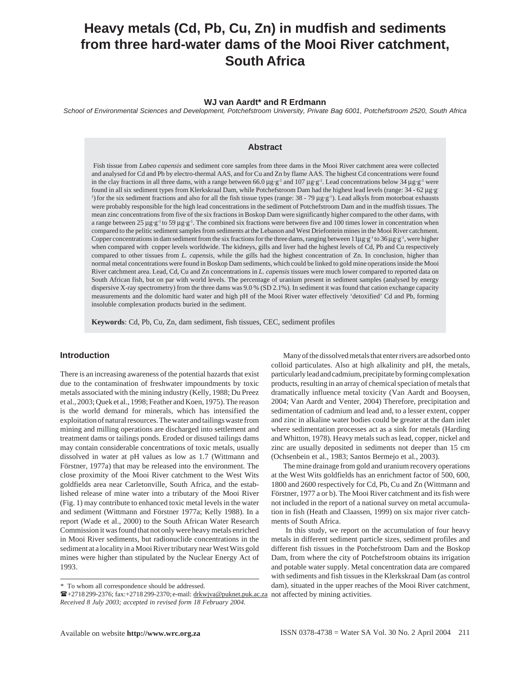# **Heavy metals (Cd, Pb, Cu, Zn) in mudfish and sediments from three hard-water dams of the Mooi River catchment, South Africa**

# **WJ van Aardt\* and R Erdmann**

*School of Environmental Sciences and Development, Potchefstroom University, Private Bag 6001, Potchefstroom 2520, South Africa*

## **Abstract**

 Fish tissue from *Labeo capensis* and sediment core samples from three dams in the Mooi River catchment area were collected and analysed for Cd and Pb by electro-thermal AAS, and for Cu and Zn by flame AAS. The highest Cd concentrations were found in the clay fractions in all three dams, with a range between 66.0  $\mu$ g·g<sup>-1</sup> and 107  $\mu$ g·g<sup>-1</sup>. Lead concentrations below 34  $\mu$ g·g<sup>-1</sup> were found in all six sediment types from Klerkskraal Dam, while Potchefstroom Dam had the highest lead levels (range: 34 - 62 µg·g-<sup>1</sup>) for the six sediment fractions and also for all the fish tissue types (range:  $38 - 79 \mu g \cdot g^{-1}$ ). Lead alkyls from motorboat exhausts were probably responsible for the high lead concentrations in the sediment of Potchefstroom Dam and in the mudfish tissues. The mean zinc concentrations from five of the six fractions in Boskop Dam were significantly higher compared to the other dams, with a range between  $25 \mu g \cdot g^{-1}$  to  $59 \mu g \cdot g^{-1}$ . The combined six fractions were between five and 100 times lower in concentration when compared to the pelitic sediment samples from sediments at the Lebanon and West Driefontein mines in the Mooi River catchment. Copper concentrations in dam sediment from the six fractions for the three dams, ranging between  $11\mu g \cdot g^{-1}$  to  $36\mu g \cdot g^{-1}$ , were higher when compared with copper levels worldwide. The kidneys, gills and liver had the highest levels of Cd, Pb and Cu respectively compared to other tissues from *L. capensis,* while the gills had the highest concentration of Zn. In conclusion, higher than normal metal concentrations were found in Boskop Dam sediments, which could be linked to gold mine operations inside the Mooi River catchment area. Lead, Cd, Cu and Zn concentrations in *L. capensis* tissues were much lower compared to reported data on South African fish, but on par with world levels. The percentage of uranium present in sediment samples (analysed by energy dispersive X-ray spectrometry) from the three dams was 9.0 % (SD 2.1%). In sediment it was found that cation exchange capacity measurements and the dolomitic hard water and high pH of the Mooi River water effectively 'detoxified' Cd and Pb, forming insoluble complexation products buried in the sediment.

**Keywords**: Cd, Pb, Cu, Zn, dam sediment, fish tissues, CEC, sediment profiles

# **Introduction**

There is an increasing awareness of the potential hazards that exist due to the contamination of freshwater impoundments by toxic metals associated with the mining industry (Kelly, 1988; Du Preez et al., 2003; Quek et al., 1998; Feather and Koen, 1975). The reason is the world demand for minerals, which has intensified the exploitation of natural resources. The water and tailings waste from mining and milling operations are discharged into settlement and treatment dams or tailings ponds. Eroded or disused tailings dams may contain considerable concentrations of toxic metals, usually dissolved in water at pH values as low as 1.7 (Wittmann and Förstner, 1977a) that may be released into the environment. The close proximity of the Mooi River catchment to the West Wits goldfields area near Carletonville, South Africa, and the established release of mine water into a tributary of the Mooi River (Fig. 1) may contribute to enhanced toxic metal levels in the water and sediment (Wittmann and Förstner 1977a; Kelly 1988). In a report (Wade et al., 2000) to the South African Water Research Commission it was found that not only were heavy metals enriched in Mooi River sediments, but radionuclide concentrations in the sediment at a locality in a Mooi River tributary near West Wits gold mines were higher than stipulated by the Nuclear Energy Act of 1993.

Many of the dissolved metals that enter rivers are adsorbed onto colloid particulates. Also at high alkalinity and pH, the metals, particularly lead and cadmium, precipitate by forming complexation products, resulting in an array of chemical speciation of metals that dramatically influence metal toxicity (Van Aardt and Booysen, 2004; Van Aardt and Venter, 2004) Therefore, precipitation and sedimentation of cadmium and lead and, to a lesser extent, copper and zinc in alkaline water bodies could be greater at the dam inlet where sedimentation processes act as a sink for metals (Harding and Whitton, 1978). Heavy metals such as lead, copper, nickel and zinc are usually deposited in sediments not deeper than 15 cm (Ochsenbein et al., 1983; Santos Bermejo et al*.*, 2003).

The mine drainage from gold and uranium recovery operations at the West Wits goldfields has an enrichment factor of 500, 600, 1800 and 2600 respectively for Cd, Pb, Cu and Zn (Wittmann and Förstner, 1977 a or b). The Mooi River catchment and its fish were not included in the report of a national survey on metal accumulation in fish (Heath and Claassen, 1999) on six major river catchments of South Africa.

 In this study, we report on the accumulation of four heavy metals in different sediment particle sizes, sediment profiles and different fish tissues in the Potchefstroom Dam and the Boskop Dam, from where the city of Potchefstroom obtains its irrigation and potable water supply. Metal concentration data are compared with sediments and fish tissues in the Klerkskraal Dam (as control dam), situated in the upper reaches of the Mooi River catchment, not affected by mining activities.

*<sup>\*</sup>* To whom all correspondence should be addressed.

<sup>+2718 299-2376;</sup> fax:+2718 299-2370; e-mail: drkwjva@puknet.puk.ac.za *Received 8 July 2003; accepted in revised form 18 February 2004*.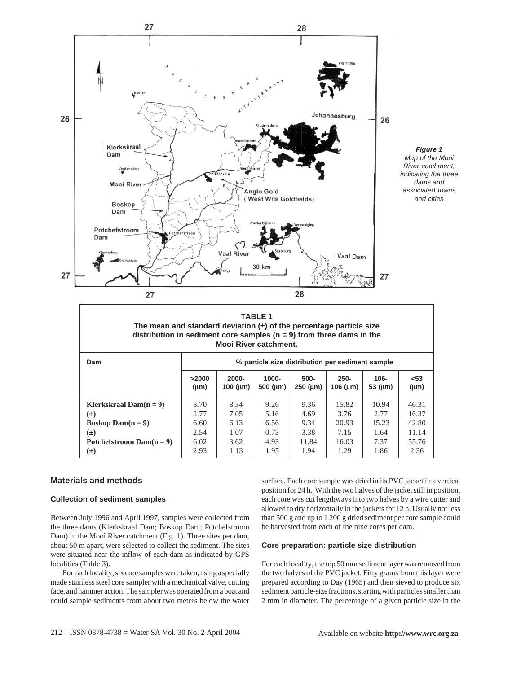

**TABLE 1 The mean and standard deviation (±) of the percentage particle size distribution in sediment core samples (n = 9) from three dams in the Mooi River catchment.**

| Dam                           | % particle size distribution per sediment sample |                            |                            |                             |                               |                         |                   |
|-------------------------------|--------------------------------------------------|----------------------------|----------------------------|-----------------------------|-------------------------------|-------------------------|-------------------|
|                               | >2000<br>$(\mu m)$                               | $2000 -$<br>100 ( $\mu$ m) | $1000 -$<br>500 ( $\mu$ m) | $500 -$<br>$250 \, (\mu m)$ | $250 -$<br>$106 \text{ (µm)}$ | $106 -$<br>53 $(\mu m)$ | $53$<br>$(\mu m)$ |
| <b>Klerkskraal Dam(n = 9)</b> | 8.70                                             | 8.34                       | 9.26                       | 9.36                        | 15.82                         | 10.94                   | 46.31             |
| $(\pm)$                       | 2.77                                             | 7.05                       | 5.16                       | 4.69                        | 3.76                          | 2.77                    | 16.37             |
| <b>Boskop Dam(n = 9)</b>      | 6.60                                             | 6.13                       | 6.56                       | 9.34                        | 20.93                         | 15.23                   | 42.80             |
| $(\pm)$                       | 2.54                                             | 1.07                       | 0.73                       | 3.38                        | 7.15                          | 1.64                    | 11.14             |
| Potchefstroom $Dam(n=9)$      | 6.02                                             | 3.62                       | 4.93                       | 11.84                       | 16.03                         | 7.37                    | 55.76             |
| $(\pm)$                       | 2.93                                             | 1.13                       | 1.95                       | 1.94                        | 1.29                          | 1.86                    | 2.36              |

## **Materials and methods**

#### **Collection of sediment samples**

Between July 1996 and April 1997, samples were collected from the three dams (Klerkskraal Dam; Boskop Dam; Potchefstroom Dam) in the Mooi River catchment (Fig. 1). Three sites per dam, about 50 m apart, were selected to collect the sediment. The sites were situated near the inflow of each dam as indicated by GPS localities (Table 3).

For each locality, six core samples were taken, using a specially made stainless steel core sampler with a mechanical valve, cutting face, and hammer action. The sampler was operated from a boat and could sample sediments from about two meters below the water surface. Each core sample was dried in its PVC jacket in a vertical position for 24 h. With the two halves of the jacket still in position, each core was cut lengthways into two halves by a wire cutter and allowed to dry horizontally in the jackets for 12 h. Usually not less than 500 g and up to 1 200 g dried sediment per core sample could be harvested from each of the nine cores per dam.

## **Core preparation: particle size distribution**

For each locality, the top 50 mm sediment layer was removed from the two halves of the PVC jacket. Fifty grams from this layer were prepared according to Day (1965) and then sieved to produce six sediment particle-size fractions, starting with particles smaller than 2 mm in diameter. The percentage of a given particle size in the